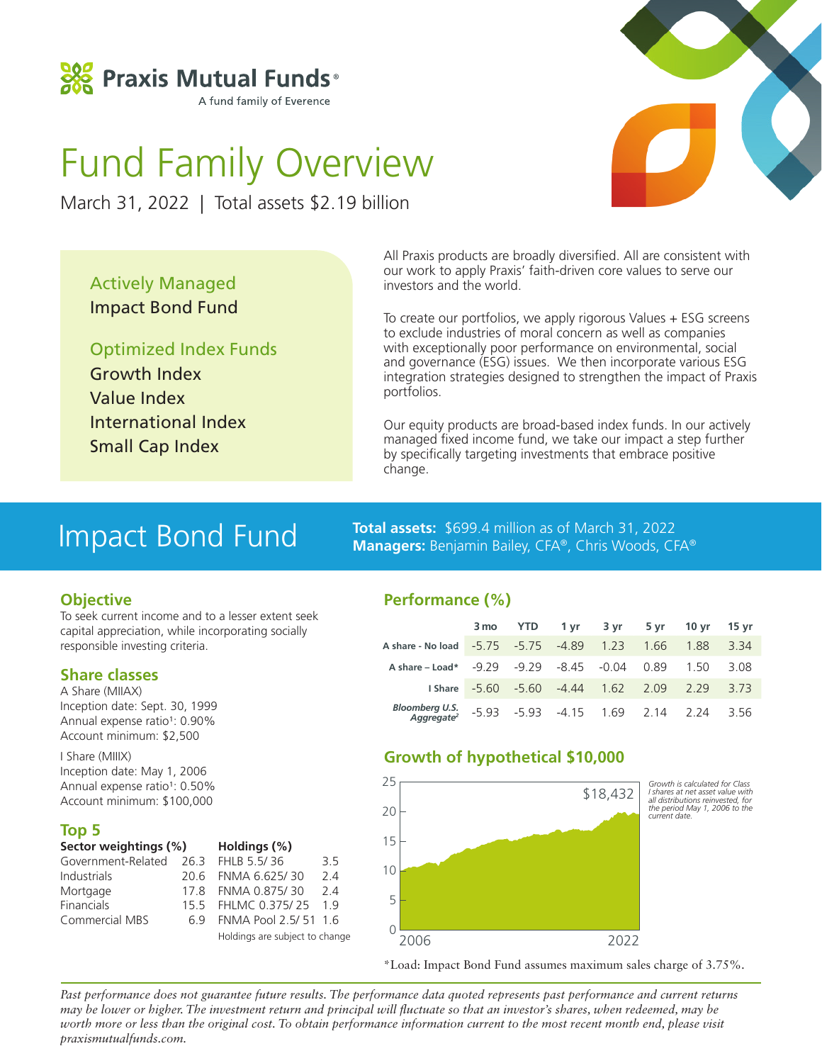

# Fund Family Overview

March 31, 2022 | Total assets \$2.19 billion

Actively Managed Impact Bond Fund

Optimized Index Funds Growth Index Value Index International Index Small Cap Index

All Praxis products are broadly diversified. All are consistent with our work to apply Praxis' faith-driven core values to serve our investors and the world.

To create our portfolios, we apply rigorous Values + ESG screens to exclude industries of moral concern as well as companies with exceptionally poor performance on environmental, social and governance (ESG) issues. We then incorporate various ESG integration strategies designed to strengthen the impact of Praxis portfolios.

Our equity products are broad-based index funds. In our actively managed fixed income fund, we take our impact a step further by specifically targeting investments that embrace positive change.

### Impact Bond Fund

### **Objective**

To seek current income and to a lesser extent seek capital appreciation, while incorporating socially responsible investing criteria.

### **Share classes**

A Share (MIIAX) Inception date: Sept. 30, 1999 Annual expense ratio<sup>1</sup>: 0.90% Account minimum: \$2,500

I Share (MIIIX) Inception date: May 1, 2006 Annual expense ratio<sup>1</sup>: 0.50% Account minimum: \$100,000

### **Top 5**

| Sector weightings (%)               |     | Holdings (%)                   |    |
|-------------------------------------|-----|--------------------------------|----|
| Government-Related 26.3 FHLB 5.5/36 |     |                                | 35 |
| <b>Industrials</b>                  |     | 20.6 FNMA 6.625/30             | 24 |
| Mortgage                            | 178 | FNMA 0.875/30                  | 24 |
| Financials                          |     | 15.5 FHLMC 0.375/25            | 19 |
| <b>Commercial MBS</b>               | 69  | FNMA Pool 2.5/51 1.6           |    |
|                                     |     | Holdings are subject to change |    |

**Total assets:** \$699.4 million as of March 31, 2022 **Managers:** Benjamin Bailey, CFA®, Chris Woods, CFA®

### **Performance (%)**

|                                                            |  | 3 mo YTD 1 yr 3 yr 5 yr 10 yr 15 yr         |  |     |
|------------------------------------------------------------|--|---------------------------------------------|--|-----|
| A share - No load - 5.75 - 5.75 - 4.89 1.23 1.66 1.88 3.34 |  |                                             |  |     |
| A share - Load* - 9.29 - 9.29 - 8.45 - 0.04 0.89 1.50 3.08 |  |                                             |  |     |
|                                                            |  | 1 Share - 5.60 - 5.60 - 4.44 1.62 2.09 2.29 |  | 373 |
| Bloomberg U.S. -5.93 -5.93 -4.15 1.69 2.14 2.24 3.56       |  |                                             |  |     |

### **Growth of hypothetical \$10,000**



\*Load: Impact Bond Fund assumes maximum sales charge of 3.75%.

*Past performance does not guarantee future results. The performance data quoted represents past performance and current returns may be lower or higher. The investment return and principal will fluctuate so that an investor's shares, when redeemed, may be worth more or less than the original cost. To obtain performance information current to the most recent month end, please visit praxismutualfunds.com.*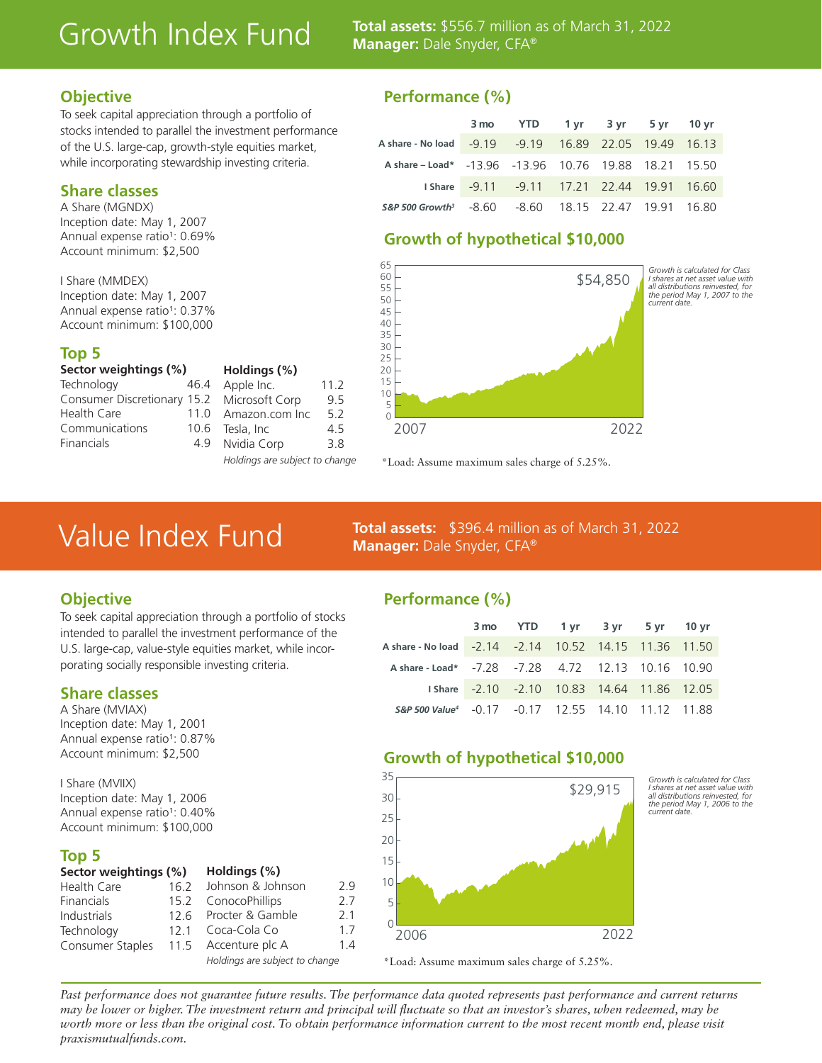## Growth Index Fund

**Total assets:** \$556.7 million as of March 31, 2022 **Manager:** Dale Snyder, CFA®

### **Objective**

To seek capital appreciation through a portfolio of stocks intended to parallel the investment performance of the U.S. large-cap, growth-style equities market, while incorporating stewardship investing criteria.

### **Share classes**

A Share (MGNDX) Inception date: May 1, 2007 Annual expense ratio<sup>1</sup>: 0.69% Account minimum: \$2,500

I Share (MMDEX) Inception date: May 1, 2007 Annual expense ratio<sup>1</sup>: 0.37% Account minimum: \$100,000

#### **Top 5**

| Sector weightings (%)       |  |  |  |  |  |
|-----------------------------|--|--|--|--|--|
| 464                         |  |  |  |  |  |
| Consumer Discretionary 15.2 |  |  |  |  |  |
| 11 <sub>0</sub>             |  |  |  |  |  |
| 106                         |  |  |  |  |  |
| 49                          |  |  |  |  |  |
|                             |  |  |  |  |  |

| Holdings (%)   |      |
|----------------|------|
| Apple Inc.     | 11.2 |
| Microsoft Corp | 95   |
| Amazon.com Inc | 5.2  |
| Tesla, Inc     | 45   |
| Nvidia Corp    | 3.8  |
|                |      |

#### *Holdings are subject to change*

### **Performance (%)**

|                                                                 | 3 mo YTD 1 yr 3 yr 5 yr 10 yr                 |  |  |
|-----------------------------------------------------------------|-----------------------------------------------|--|--|
| A share - No load - 9.19 - 9.19 16.89 22.05 19.49 16.13         |                                               |  |  |
| A share - Load* - 13.96 - 13.96 10.76 19.88 18.21 15.50         |                                               |  |  |
|                                                                 | 1 Share - 9.11 - 9.11 17.21 22.44 19.91 16.60 |  |  |
| S&P 500 Growth <sup>3</sup> -8.60 -8.60 18.15 22.47 19.91 16.80 |                                               |  |  |

### **Growth of hypothetical \$10,000**



\*Load: Assume maximum sales charge of 5.25%.

### Value Index Fund

**Total assets:** \$396.4 million as of March 31, 2022 **Manager:** Dale Snyder, CFA®

### **Objective**

To seek capital appreciation through a portfolio of stocks intended to parallel the investment performance of the U.S. large-cap, value-style equities market, while incorporating socially responsible investing criteria.

### **Share classes**

A Share (MVIAX) Inception date: May 1, 2001 Annual expense ratio<sup>1</sup>: 0.87% Account minimum: \$2,500

I Share (MVIIX) Inception date: May 1, 2006 Annual expense ratio<sup>1</sup>: 0.40% Account minimum: \$100,000

### **Top 5**

| Sector weightings (%) |      | Holdings (%)                   |     |
|-----------------------|------|--------------------------------|-----|
| Health Care           | 16.2 | Johnson & Johnson              | 2.9 |
| Financials            |      | 15.2 ConocoPhillips            | 2.7 |
| Industrials           |      | 12.6 Procter & Gamble          | 2.1 |
| Technology            |      | 12.1 Coca-Cola Co              | 1.7 |
| Consumer Staples      |      | 11.5 Accenture plc A           | 1.4 |
|                       |      | Holdings are subject to change |     |

### **Performance (%)**

|                                                                |  | 3 mo YTD 1 yr 3 yr 5 yr 10 yr               |  |  |
|----------------------------------------------------------------|--|---------------------------------------------|--|--|
|                                                                |  |                                             |  |  |
| A share - Load* - 7.28 - 7.28 4.72 12.13 10.16 10.90           |  |                                             |  |  |
|                                                                |  | I Share -2.10 -2.10 10.83 14.64 11.86 12.05 |  |  |
| S&P 500 Value <sup>4</sup> -0.17 -0.17 12.55 14.10 11.12 11.88 |  |                                             |  |  |

*Growth is calculated for Class I shares at net asset value with all distributions reinvested, for the period May 1, 2006 to the* 

*current date.*

### **Growth of hypothetical \$10,000**



\*Load: Assume maximum sales charge of 5.25%.

*Past performance does not guarantee future results. The performance data quoted represents past performance and current returns may be lower or higher. The investment return and principal will fluctuate so that an investor's shares, when redeemed, may be*  worth more or less than the original cost. To obtain performance information current to the most recent month end, please visit *praxismutualfunds.com.*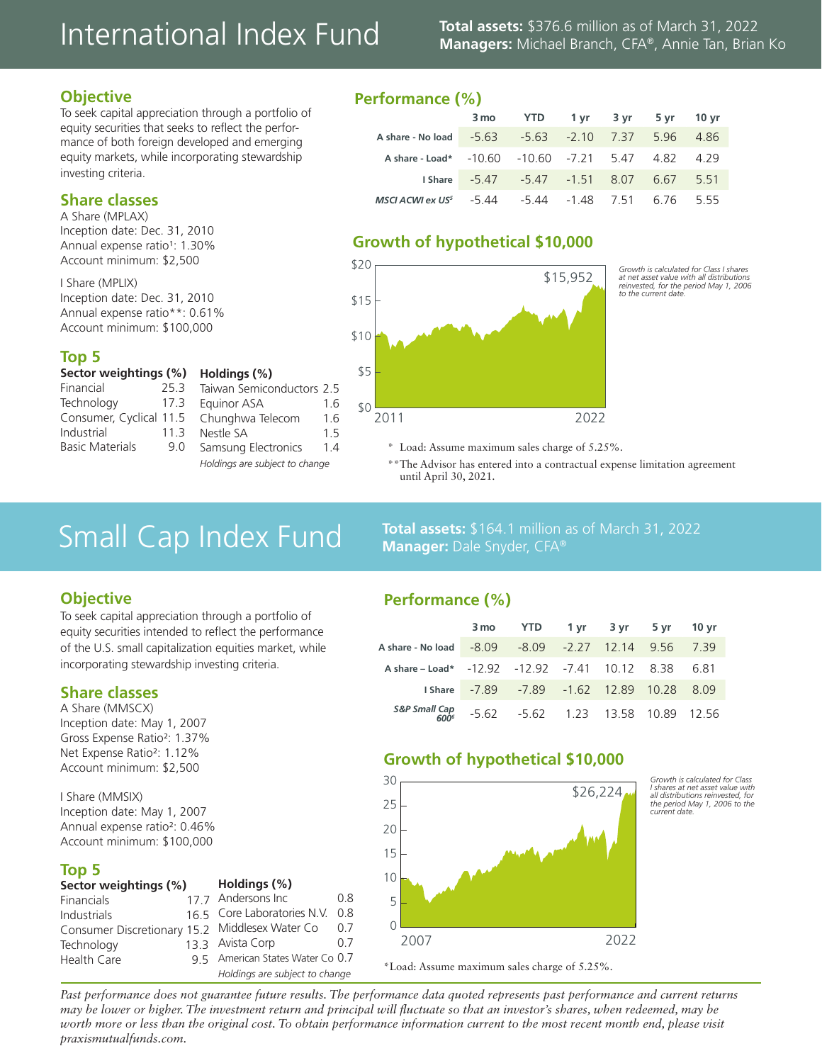## International Index Fund **Total assets:** \$376.6 million as of March 31, 2022

## **Managers:** Michael Branch, CFA®, Annie Tan, Brian Ko

### **Objective**

To seek capital appreciation through a portfolio of equity securities that seeks to reflect the performance of both foreign developed and emerging equity markets, while incorporating stewardship investing criteria.

### **Share classes**

A Share (MPLAX) Inception date: Dec. 31, 2010 Annual expense ratio<sup>1</sup>: 1.30% Account minimum: \$2,500

I Share (MPLIX) Inception date: Dec. 31, 2010 Annual expense ratio\*\*: 0.61% Account minimum: \$100,000

### **Top 5**

| Sector weightings (%)   |                 |  |  |  |
|-------------------------|-----------------|--|--|--|
| Financial               | 253             |  |  |  |
| Technology              | 173             |  |  |  |
| Consumer, Cyclical 11.5 |                 |  |  |  |
| Industrial              | 11 <sub>3</sub> |  |  |  |
| <b>Basic Materials</b>  | 9.0             |  |  |  |
|                         |                 |  |  |  |

| . .v.uy. , , , , ,             |     |
|--------------------------------|-----|
| Taiwan Semiconductors 2.5      |     |
| Equinor ASA                    | 1.6 |
| Chunghwa Telecom               | 1.6 |
| Nestle SA                      | 1.5 |
| Samsung Electronics            | 1.4 |
| Holdinas are subiect to change |     |

**Holdings (%)**

### **Performance (%)**

|                                                       | 3 mo YTD 1 yr 3 yr 5 yr 10 yr               |  |  |
|-------------------------------------------------------|---------------------------------------------|--|--|
| A share - No load - 5.63 - 5.63 - 2.10 7.37 5.96 4.86 |                                             |  |  |
| A share - Load* - 10.60 - 10.60 - 7.21 5.47 4.82 4.29 |                                             |  |  |
|                                                       | 1 Share - 5.47 - 5.47 - 1.51 8.07 6.67 5.51 |  |  |
| MSCI ACWI ex US $5 - 544$                             | -5.44 -1.48 7.51 6.76 5.55                  |  |  |

### **Growth of hypothetical \$10,000**



*Growth is calculated for Class I shares at net asset value with all distributions reinvested, for the period May 1, 2006 to the current date.*

> *Growth is calculated for Class I shares at net asset value with all distributions reinvested, for the period May 1, 2006 to the current date.*

- \* Load: Assume maximum sales charge of 5.25%.
- \*\*The Advisor has entered into a contractual expense limitation agreement until April 30, 2021.

## Small Cap Index Fund<br>Manager: Dale Snyder, CFA®<br>
March 31, 2022

### **Objective**

To seek capital appreciation through a portfolio of equity securities intended to reflect the performance of the U.S. small capitalization equities market, while incorporating stewardship investing criteria.

### **Share classes**

A Share (MMSCX) Inception date: May 1, 2007 Gross Expense Ratio<sup>2</sup>: 1.37% Net Expense Ratio<sup>2</sup>: 1.12% Account minimum: \$2,500

I Share (MMSIX) Inception date: May 1, 2007 Annual expense ratio<sup>2</sup>: 0.46% Account minimum: \$100,000

### **Top 5**

| Sector weightings (%)                          | Holdings (%) |                                  |     |  |  |
|------------------------------------------------|--------------|----------------------------------|-----|--|--|
| <b>Financials</b>                              |              | 17.7 Andersons Inc               | 0.8 |  |  |
| <b>Industrials</b>                             |              | 16.5 Core Laboratories N.V.      | 0.8 |  |  |
| Consumer Discretionary 15.2 Middlesex Water Co |              |                                  | 0.7 |  |  |
| Technology                                     |              | 13.3 Avista Corp                 | 0.7 |  |  |
| Health Care                                    |              | 9 5 American States Water Co 0.7 |     |  |  |
|                                                |              | Holdings are subject to change   |     |  |  |

### **Performance (%)**

**Manager:** Dale Snyder, CFA®

|                                                        | 3 mo YTD 1 yr 3 yr 5 yr 10 yr                 |  |  |
|--------------------------------------------------------|-----------------------------------------------|--|--|
| A share - No load - 8.09 - 8.09 - 2.27 12.14 9.56 7.39 |                                               |  |  |
| A share - Load* - 12.92 - 12.92 - 7.41 10.12 8.38 6.81 |                                               |  |  |
|                                                        | 1 Share - 7.89 - 7.89 - 1.62 12.89 10.28 8.09 |  |  |
| S&P Small Cap -5.62 -5.62 1.23 13.58 10.89 12.56       |                                               |  |  |

### **Growth of hypothetical \$10,000**



\*Load: Assume maximum sales charge of 5.25%.

*Past performance does not guarantee future results. The performance data quoted represents past performance and current returns may be lower or higher. The investment return and principal will fluctuate so that an investor's shares, when redeemed, may be*  worth more or less than the original cost. To obtain performance information current to the most recent month end, please visit *praxismutualfunds.com.*